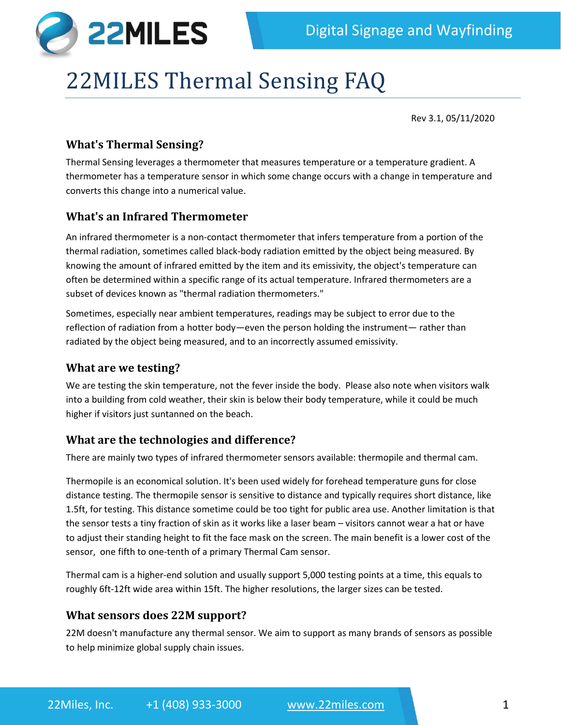

# 22MILES Thermal Sensing FAQ

Rev 3.1, 05/11/2020

## **What's Thermal Sensing?**

Thermal Sensing leverages a thermometer that measures temperature or a temperature gradient. A thermometer has a temperature sensor in which some change occurs with a change in temperature and converts this change into a numerical value.

## **What's an Infrared Thermometer**

An infrared thermometer is a non-contact thermometer that infers temperature from a portion of the thermal radiation, sometimes called black-body radiation emitted by the object being measured. By knowing the amount of infrared emitted by the item and its emissivity, the object's temperature can often be determined within a specific range of its actual temperature. Infrared thermometers are a subset of devices known as "thermal radiation thermometers."

Sometimes, especially near ambient temperatures, readings may be subject to error due to the reflection of radiation from a hotter body—even the person holding the instrument— rather than radiated by the object being measured, and to an incorrectly assumed emissivity.

#### **What are we testing?**

We are testing the skin temperature, not the fever inside the body. Please also note when visitors walk into a building from cold weather, their skin is below their body temperature, while it could be much higher if visitors just suntanned on the beach.

## **What are the technologies and difference?**

There are mainly two types of infrared thermometer sensors available: thermopile and thermal cam.

Thermopile is an economical solution. It's been used widely for forehead temperature guns for close distance testing. The thermopile sensor is sensitive to distance and typically requires short distance, like 1.5ft, for testing. This distance sometime could be too tight for public area use. Another limitation is that the sensor tests a tiny fraction of skin as it works like a laser beam – visitors cannot wear a hat or have to adjust their standing height to fit the face mask on the screen. The main benefit is a lower cost of the sensor, one fifth to one-tenth of a primary Thermal Cam sensor.

Thermal cam is a higher-end solution and usually support 5,000 testing points at a time, this equals to roughly 6ft-12ft wide area within 15ft. The higher resolutions, the larger sizes can be tested.

#### **What sensors does 22M support?**

22M doesn't manufacture any thermal sensor. We aim to support as many brands of sensors as possible to help minimize global supply chain issues.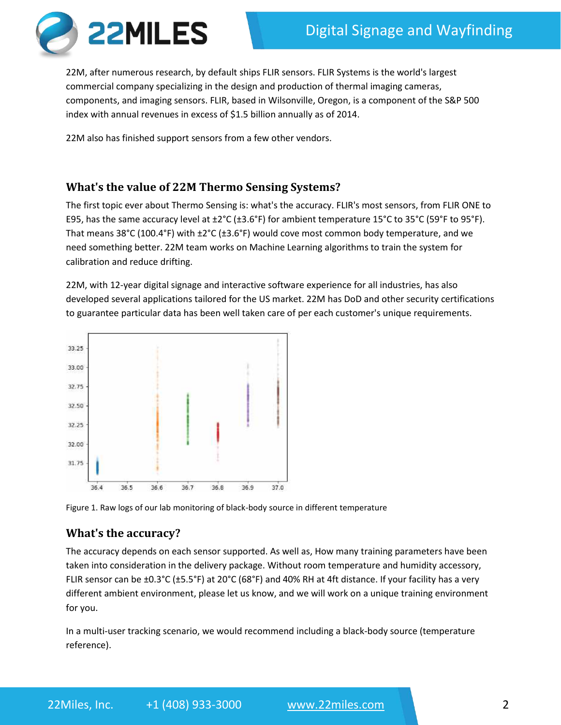

22M, after numerous research, by default ships FLIR sensors. FLIR Systems is the world's largest commercial company specializing in the design and production of thermal imaging cameras, components, and imaging sensors. FLIR, based in Wilsonville, Oregon, is a component of the S&P 500 index with annual revenues in excess of \$1.5 billion annually as of 2014.

22M also has finished support sensors from a few other vendors.

# **What's the value of 22M Thermo Sensing Systems?**

The first topic ever about Thermo Sensing is: what's the accuracy. FLIR's most sensors, from FLIR ONE to E95, has the same accuracy level at ±2°C (±3.6°F) for ambient temperature 15°C to 35°C (59°F to 95°F). That means 38°C (100.4°F) with ±2°C (±3.6°F) would cove most common body temperature, and we need something better. 22M team works on Machine Learning algorithms to train the system for calibration and reduce drifting.

22M, with 12-year digital signage and interactive software experience for all industries, has also developed several applications tailored for the US market. 22M has DoD and other security certifications to guarantee particular data has been well taken care of per each customer's unique requirements.



Figure 1. Raw logs of our lab monitoring of black-body source in different temperature

# **What's the accuracy?**

The accuracy depends on each sensor supported. As well as, How many training parameters have been taken into consideration in the delivery package. Without room temperature and humidity accessory, FLIR sensor can be ±0.3°C (±5.5°F) at 20°C (68°F) and 40% RH at 4ft distance. If your facility has a very different ambient environment, please let us know, and we will work on a unique training environment for you.

In a multi-user tracking scenario, we would recommend including a black-body source (temperature reference).